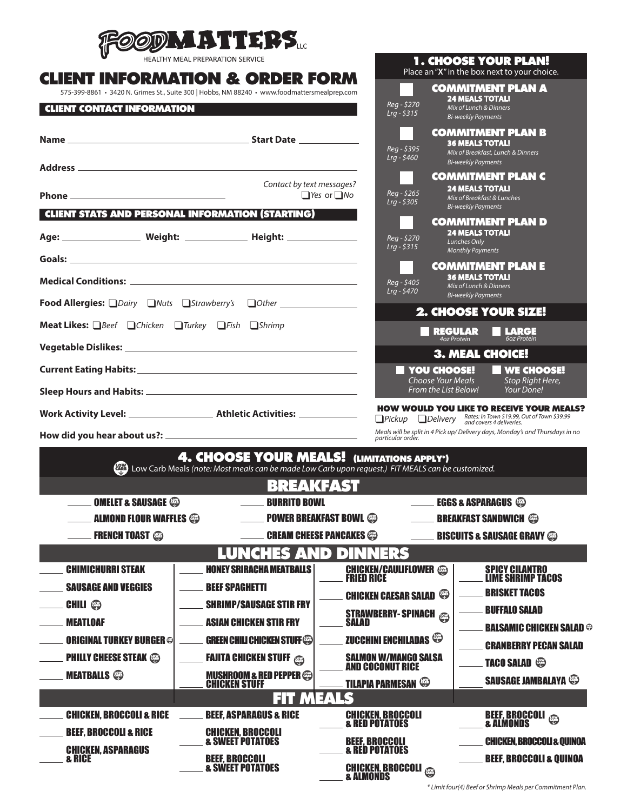

| <b>HEALTHY MEAL PREPARATION SERVICE</b>                                                                                           |                                                                                                                                                                                                                                                             |                                                        | <b>1. CHOOSE YOUR PLAN!</b><br>Place an "X" in the box next to your choice. |                                                                                                                 |  |
|-----------------------------------------------------------------------------------------------------------------------------------|-------------------------------------------------------------------------------------------------------------------------------------------------------------------------------------------------------------------------------------------------------------|--------------------------------------------------------|-----------------------------------------------------------------------------|-----------------------------------------------------------------------------------------------------------------|--|
|                                                                                                                                   | <b>CLIENT INFORMATION &amp; ORDER FORM</b>                                                                                                                                                                                                                  |                                                        |                                                                             | <b>COMMITMENT PLAN A</b>                                                                                        |  |
| 575-399-8861 · 3420 N. Grimes St., Suite 300   Hobbs, NM 88240 · www.foodmattersmealprep.com<br><b>CLIENT CONTACT INFORMATION</b> | Reg - \$270                                                                                                                                                                                                                                                 | <b>24 MEALS TOTALI</b><br>Mix of Lunch & Dinners       |                                                                             |                                                                                                                 |  |
|                                                                                                                                   |                                                                                                                                                                                                                                                             | $Lrq - $315$                                           | <b>Bi-weekly Payments</b>                                                   |                                                                                                                 |  |
|                                                                                                                                   |                                                                                                                                                                                                                                                             |                                                        | <b>36 MEALS TOTAL!</b>                                                      | <b>COMMITMENT PLAN B</b>                                                                                        |  |
|                                                                                                                                   |                                                                                                                                                                                                                                                             | Reg - \$395<br>$Lrq - $460$                            | <b>Bi-weekly Payments</b>                                                   | Mix of Breakfast, Lunch & Dinners                                                                               |  |
|                                                                                                                                   | Address and the contract of the contract of the contract of the contract of the contract of the contract of the contract of the contract of the contract of the contract of the contract of the contract of the contract of th<br>Contact by text messages? |                                                        |                                                                             | <b>COMMITMENT PLAN C</b>                                                                                        |  |
|                                                                                                                                   |                                                                                                                                                                                                                                                             | Reg - \$265<br>$\Box$ Yes or $\Box$ No<br>$Lrq - $305$ | <b>24 MEALS TOTALI</b><br>Mix of Breakfast & Lunches                        |                                                                                                                 |  |
|                                                                                                                                   | <b>CLIENT STATS AND PERSONAL INFORMATION (STARTING)</b>                                                                                                                                                                                                     |                                                        | <b>Bi-weekly Payments</b>                                                   | <b>COMMITMENT PLAN D</b>                                                                                        |  |
|                                                                                                                                   |                                                                                                                                                                                                                                                             | Reg - \$270                                            | <b>24 MEALS TOTALI</b>                                                      |                                                                                                                 |  |
|                                                                                                                                   |                                                                                                                                                                                                                                                             | $Lrq - $315$                                           | Lunches Only<br><b>Monthly Payments</b>                                     |                                                                                                                 |  |
|                                                                                                                                   |                                                                                                                                                                                                                                                             |                                                        | <b>36 MEALS TOTALI</b>                                                      | <b>COMMITMENT PLAN E</b>                                                                                        |  |
|                                                                                                                                   |                                                                                                                                                                                                                                                             | Reg - \$405<br>$Lrg - $470$                            | Mix of Lunch & Dinners<br><b>Bi-weekly Payments</b>                         |                                                                                                                 |  |
| Food Allergies: DDairy DNuts DStrawberry's DOther ______________________________                                                  |                                                                                                                                                                                                                                                             | 2. CHOOSE YOUR SIZE!                                   |                                                                             |                                                                                                                 |  |
| Meat Likes: <b>Beef QChicken QTurkey QFish QShrimp</b>                                                                            |                                                                                                                                                                                                                                                             | <b>REGULAR</b><br>4oz Protein                          | <b>LARGE</b><br>60z Protein                                                 |                                                                                                                 |  |
|                                                                                                                                   |                                                                                                                                                                                                                                                             |                                                        | 3. MEAL CHOICE!                                                             |                                                                                                                 |  |
|                                                                                                                                   |                                                                                                                                                                                                                                                             |                                                        | <b>YOU CHOOSE!</b>                                                          | <b>WE CHOOSE!</b>                                                                                               |  |
|                                                                                                                                   |                                                                                                                                                                                                                                                             |                                                        | <b>Choose Your Meals</b><br>From the List Below!                            | Stop Right Here,<br>Your Done!                                                                                  |  |
|                                                                                                                                   |                                                                                                                                                                                                                                                             |                                                        |                                                                             | <b>HOW WOULD YOU LIKE TO RECEIVE YOUR MEALS?</b><br>Pickup Delivery Rates: In Town \$19.99, Out of Town \$39.99 |  |
|                                                                                                                                   |                                                                                                                                                                                                                                                             | particular order.                                      |                                                                             | Meals will be split in 4 Pick up/ Delivery days, Monday's and Thursdays in no                                   |  |
|                                                                                                                                   | <b>4. CHOOSE YOUR MEALS! (LIMITATIONS APPLY*)</b>                                                                                                                                                                                                           |                                                        |                                                                             |                                                                                                                 |  |
|                                                                                                                                   | Low Carb Meals (note: Most meals can be made Low Carb upon request.) FIT MEALS can be customized.                                                                                                                                                           |                                                        |                                                                             |                                                                                                                 |  |
|                                                                                                                                   | <b>BREAKFAST</b>                                                                                                                                                                                                                                            |                                                        |                                                                             |                                                                                                                 |  |
| <b>NELLET &amp; SAUSAGE</b>                                                                                                       | <b>BURRITO BOWL</b>                                                                                                                                                                                                                                         |                                                        | <b>EGGS &amp; ASPARAGUS</b>                                                 |                                                                                                                 |  |
| <b>ALMOND FLOUR WAFFLES @</b>                                                                                                     |                                                                                                                                                                                                                                                             | <b>POWER BREAKFAST BOWL @</b>                          |                                                                             | <b>BREAKFAST SANDWICH</b>                                                                                       |  |
| <b>FRENCH TOAST</b>                                                                                                               |                                                                                                                                                                                                                                                             | <b>CREAM CHEESE PANCAKES</b>                           |                                                                             | <b>BISCUITS &amp; SAUSAGE GRAVY @</b>                                                                           |  |
| <b>CHIMICHURRI STEAK</b>                                                                                                          | <b>LUNCHES AND</b><br><b>HONEY SRIRACHA MEATBALLS</b>                                                                                                                                                                                                       | <b>DINNERS</b>                                         |                                                                             |                                                                                                                 |  |
| <b>SAUSAGE AND VEGGIES</b>                                                                                                        | <b>BEEF SPAGHETTI</b>                                                                                                                                                                                                                                       | <b>CHICKEN/CAULIFLOWER</b> @                           |                                                                             | <b>SPICY CILANTRO<br/>LIME SHRIMP TACOS</b>                                                                     |  |
| <b>CHILI</b> <sup>®</sup>                                                                                                         | <b>SHRIMP/SAUSAGE STIR FRY</b>                                                                                                                                                                                                                              | <b>CHICKEN CAESAR SALAD</b>                            |                                                                             | <b>BRISKET TACOS</b>                                                                                            |  |
| <b>MEATLOAF</b>                                                                                                                   | <b>ASIAN CHICKEN STIR FRY</b>                                                                                                                                                                                                                               | <b>STRAWBERRY-SPINACH</b><br>Salad                     |                                                                             | <b>BUFFALO SALAD</b><br><b>BALSAMIC CHICKEN SALAD ®</b>                                                         |  |
| <b>ORIGINAL TURKEY BURGER ®</b>                                                                                                   | <b>GREEN CHILI CHICKEN STUFF </b>                                                                                                                                                                                                                           | ZUCCHINI ENCHILADAS <sup>@</sup>                       |                                                                             | <b>CRANBERRY PECAN SALAD</b>                                                                                    |  |
| <b>PHILLY CHEESE STEAK @</b>                                                                                                      | <b>FAJITA CHICKEN STUFF</b>                                                                                                                                                                                                                                 | <b>SALMON W/MANGO SALSA<br/>AND COCONUT RICE</b>       |                                                                             | <b>TACO SALAD</b>                                                                                               |  |
| <b>MEATBALLS</b>                                                                                                                  | <b>MUSHROOM &amp; RED PEPPER</b>                                                                                                                                                                                                                            | <b>TILAPIA PARMESAN</b>                                |                                                                             | <b>SAUSAGE JAMBALAYA <sup>@</sup></b>                                                                           |  |
|                                                                                                                                   | <b>CHICKEN STUFF</b><br><b>FIT MEALS</b>                                                                                                                                                                                                                    |                                                        |                                                                             |                                                                                                                 |  |
| <b>CHICKEN, BROCCOLI &amp; RICE</b>                                                                                               | <b>BEEF, ASPARAGUS &amp; RICE</b>                                                                                                                                                                                                                           | <b>CHICKEN, BROCCOLI<br/>&amp; RED POTATOES</b>        |                                                                             | <b>BEEF, BROCCOLI</b><br>& ALMONDS                                                                              |  |
| <b>BEEF, BROCCOLI &amp; RICE</b>                                                                                                  | <b>CHICKEN, BROCCOLI</b>                                                                                                                                                                                                                                    |                                                        |                                                                             |                                                                                                                 |  |
| <b>CHICKEN, ASPARAGUS</b>                                                                                                         | <b>&amp; SWEET POTATOES</b>                                                                                                                                                                                                                                 | <b>BEEF, BROCCOLI</b><br><b>&amp; RED POTATOES</b>     |                                                                             | <b>CHICKEN, BROCCOL &amp; QUINOA</b>                                                                            |  |
| <b>&amp; RICE</b>                                                                                                                 | <b>BEEF, BROCCOLI</b><br><b>&amp; SWEET POTATOES</b>                                                                                                                                                                                                        | <b>CHICKEN, BROCCOLI</b><br>& ALMONDS                  |                                                                             | <b>BEEF, BROCCOLI &amp; QUINOA</b>                                                                              |  |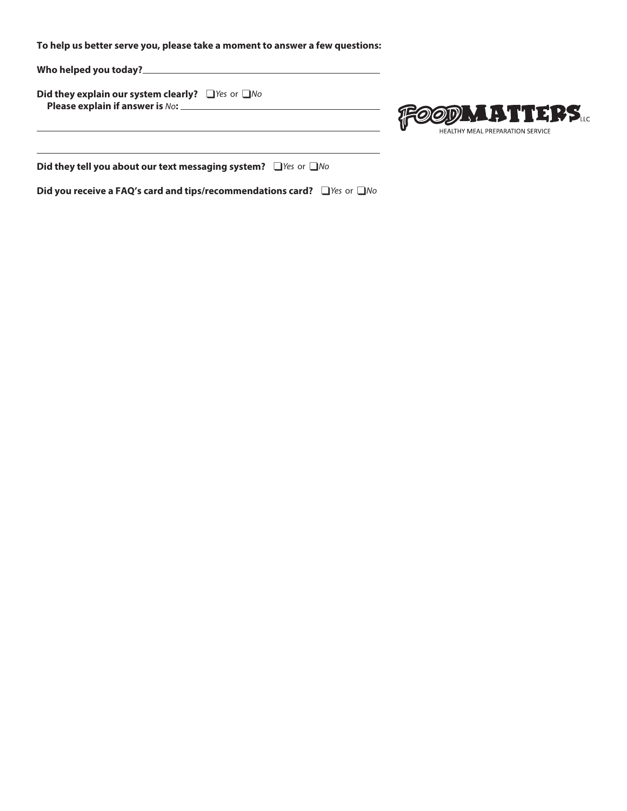**To help us better serve you, please take a moment to answer a few questions:**

**Who helped you today?**

**Did they explain our system clearly?** ❑ *Yes* or ❑ *No*  **Please explain if answer is** *No***:** 



**Did they tell you about our text messaging system?** ❑ *Yes* or ❑ *No*

**Did you receive a FAQ's card and tips/recommendations card?** ❑ *Yes* or ❑ *No*